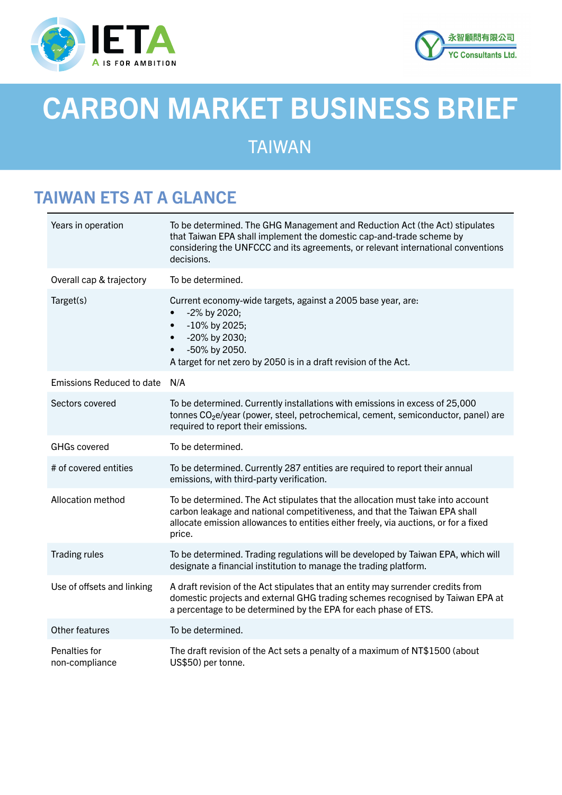



# CARBON MARKET BUSINESS BRIEF

# TAIWAN

# TAIWAN ETS AT A GLANCE

| Years in operation              | To be determined. The GHG Management and Reduction Act (the Act) stipulates<br>that Taiwan EPA shall implement the domestic cap-and-trade scheme by<br>considering the UNFCCC and its agreements, or relevant international conventions<br>decisions.           |
|---------------------------------|-----------------------------------------------------------------------------------------------------------------------------------------------------------------------------------------------------------------------------------------------------------------|
| Overall cap & trajectory        | To be determined.                                                                                                                                                                                                                                               |
| Target(s)                       | Current economy-wide targets, against a 2005 base year, are:<br>-2% by 2020;<br>-10% by 2025;<br>$\bullet$<br>-20% by 2030;<br>$\bullet$<br>-50% by 2050.<br>$\bullet$<br>A target for net zero by 2050 is in a draft revision of the Act.                      |
| Emissions Reduced to date N/A   |                                                                                                                                                                                                                                                                 |
| Sectors covered                 | To be determined. Currently installations with emissions in excess of 25,000<br>tonnes CO <sub>2</sub> e/year (power, steel, petrochemical, cement, semiconductor, panel) are<br>required to report their emissions.                                            |
| <b>GHGs covered</b>             | To be determined.                                                                                                                                                                                                                                               |
| # of covered entities           | To be determined. Currently 287 entities are required to report their annual<br>emissions, with third-party verification.                                                                                                                                       |
| Allocation method               | To be determined. The Act stipulates that the allocation must take into account<br>carbon leakage and national competitiveness, and that the Taiwan EPA shall<br>allocate emission allowances to entities either freely, via auctions, or for a fixed<br>price. |
| <b>Trading rules</b>            | To be determined. Trading regulations will be developed by Taiwan EPA, which will<br>designate a financial institution to manage the trading platform.                                                                                                          |
| Use of offsets and linking      | A draft revision of the Act stipulates that an entity may surrender credits from<br>domestic projects and external GHG trading schemes recognised by Taiwan EPA at<br>a percentage to be determined by the EPA for each phase of ETS.                           |
| Other features                  | To be determined.                                                                                                                                                                                                                                               |
| Penalties for<br>non-compliance | The draft revision of the Act sets a penalty of a maximum of NT\$1500 (about<br>US\$50) per tonne.                                                                                                                                                              |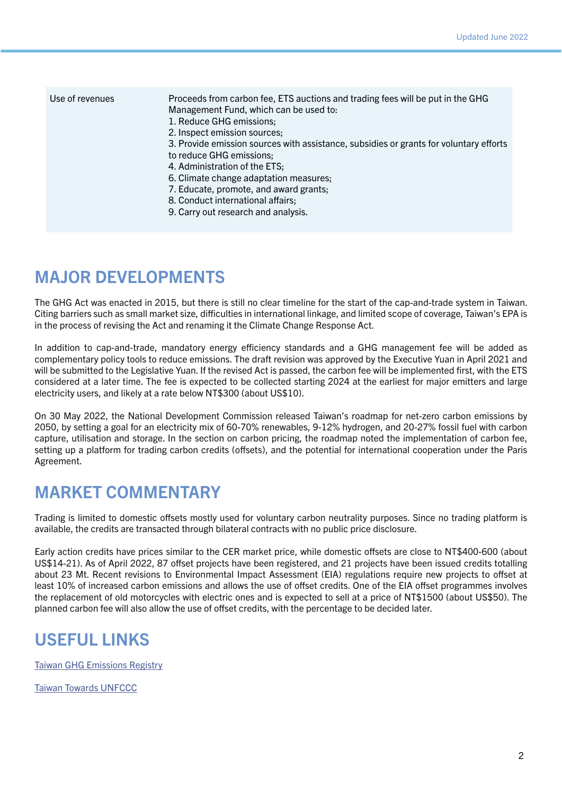| Use of revenues | Proceeds from carbon fee, ETS auctions and trading fees will be put in the GHG<br>Management Fund, which can be used to:<br>1. Reduce GHG emissions;<br>2. Inspect emission sources;<br>3. Provide emission sources with assistance, subsidies or grants for voluntary efforts<br>to reduce GHG emissions;<br>4. Administration of the ETS;<br>6. Climate change adaptation measures;<br>7. Educate, promote, and award grants;<br>8. Conduct international affairs; |
|-----------------|----------------------------------------------------------------------------------------------------------------------------------------------------------------------------------------------------------------------------------------------------------------------------------------------------------------------------------------------------------------------------------------------------------------------------------------------------------------------|
|                 | 9. Carry out research and analysis.                                                                                                                                                                                                                                                                                                                                                                                                                                  |

## MAJOR DEVELOPMENTS

The GHG Act was enacted in 2015, but there is still no clear timeline for the start of the cap-and-trade system in Taiwan. Citing barriers such as small market size, difficulties in international linkage, and limited scope of coverage, Taiwan's EPA is in the process of revising the Act and renaming it the Climate Change Response Act.

In addition to cap-and-trade, mandatory energy efficiency standards and a GHG management fee will be added as complementary policy tools to reduce emissions. The draft revision was approved by the Executive Yuan in April 2021 and will be submitted to the Legislative Yuan. If the revised Act is passed, the carbon fee will be implemented first, with the ETS considered at a later time. The fee is expected to be collected starting 2024 at the earliest for major emitters and large electricity users, and likely at a rate below NT\$300 (about US\$10).

On 30 May 2022, the National Development Commission released Taiwan's roadmap for net-zero carbon emissions by 2050, by setting a goal for an electricity mix of 60-70% renewables, 9-12% hydrogen, and 20-27% fossil fuel with carbon capture, utilisation and storage. In the section on carbon pricing, the roadmap noted the implementation of carbon fee, setting up a platform for trading carbon credits (offsets), and the potential for international cooperation under the Paris Agreement.

#### MARKET COMMENTARY

Trading is limited to domestic offsets mostly used for voluntary carbon neutrality purposes. Since no trading platform is available, the credits are transacted through bilateral contracts with no public price disclosure.

Early action credits have prices similar to the CER market price, while domestic offsets are close to NT\$400-600 (about US\$14-21). As of April 2022, 87 offset projects have been registered, and 21 projects have been issued credits totalling about 23 Mt. Recent revisions to Environmental Impact Assessment (EIA) regulations require new projects to offset at least 10% of increased carbon emissions and allows the use of offset credits. One of the EIA offset programmes involves the replacement of old motorcycles with electric ones and is expected to sell at a price of NT\$1500 (about US\$50). The planned carbon fee will also allow the use of offset credits, with the percentage to be decided later.

#### USEFUL LINKS

[Taiwan GHG Emissions Registry](https://ghgregistry.epa.gov.tw/ghgenglish/index.asp)

[Taiwan Towards UNFCCC](https://unfccc.epa.gov.tw/unfccc/english/index.html)